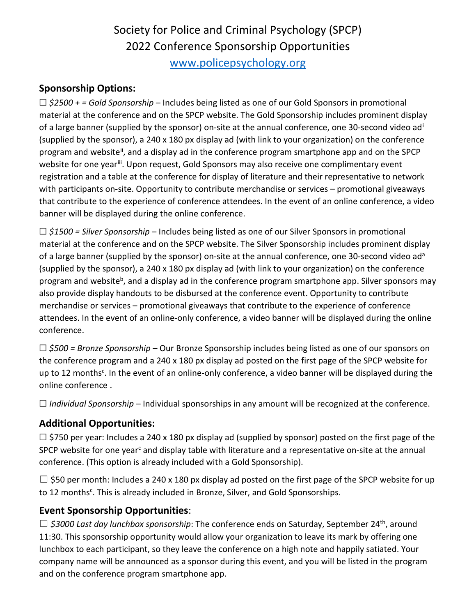## Society for Police and Criminal Psychology (SPCP) 2022 Conference Sponsorship Opportunities [www.policepsychology.org](http://www.policepsychology.org/)

## **Sponsorship Options:**

☐ *\$2500 + = Gold Sponsorship* – Includes being listed as one of our Gold Sponsors in promotional material at the conference and on the SPCP website. The Gold Sponsorship includes prominent display of a large banner (suppl[i](#page-1-0)ed by the sponsor) on-site at the annual conference, one 30-second video ad<sup>i</sup> (supplied by the sponsor), a 240 x 180 px display ad (with link to your organization) on the conference program and website<sup>[ii](#page-1-1)</sup>, and a display ad in the conference program smartphone app and on the SPCP website for one year<sup>iii</sup>. Upon request, Gold Sponsors may also receive one complimentary event registration and a table at the conference for display of literature and their representative to network with participants on-site. Opportunity to contribute merchandise or services – promotional giveaways that contribute to the experience of conference attendees. In the event of an online conference, a video banner will be displayed during the online conference.

☐ *\$1500 = Silver Sponsorship* – Includes being listed as one of our Silver Sponsors in promotional material at the conference and on the SPCP website. The Silver Sponsorship includes prominent display of a large banner (supplied by the sponsor) on-site at the annual conference, one 30-second video ad<sup>a</sup> (supplied by the sponsor), a 240 x 180 px display ad (with link to your organization) on the conference program and website<sup>b</sup>, and a display ad in the conference program smartphone app. Silver sponsors may also provide display handouts to be disbursed at the conference event. Opportunity to contribute merchandise or services – promotional giveaways that contribute to the experience of conference attendees. In the event of an online-only conference, a video banner will be displayed during the online conference.

☐ *\$500 = Bronze Sponsorship* – Our Bronze Sponsorship includes being listed as one of our sponsors on the conference program and a 240 x 180 px display ad posted on the first page of the SPCP website for up to 12 months<sup>c</sup>. In the event of an online-only conference, a video banner will be displayed during the online conference .

☐ *Individual Sponsorship* – Individual sponsorships in any amount will be recognized at the conference.

## **Additional Opportunities:**

 $\Box$  \$750 per year: Includes a 240 x 180 px display ad (supplied by sponsor) posted on the first page of the SPCP website for one year<sup>c</sup> and display table with literature and a representative on-site at the annual conference. (This option is already included with a Gold Sponsorship).

 $\Box$  \$50 per month: Includes a 240 x 180 px display ad posted on the first page of the SPCP website for up to 12 months<sup>c</sup>. This is already included in Bronze, Silver, and Gold Sponsorships.

## **Event Sponsorship Opportunities**:

☐ *\$3000 Last day lunchbox sponsorship*: The conference ends on Saturday, September 24th, around 11:30. This sponsorship opportunity would allow your organization to leave its mark by offering one lunchbox to each participant, so they leave the conference on a high note and happily satiated. Your company name will be announced as a sponsor during this event, and you will be listed in the program and on the conference program smartphone app.